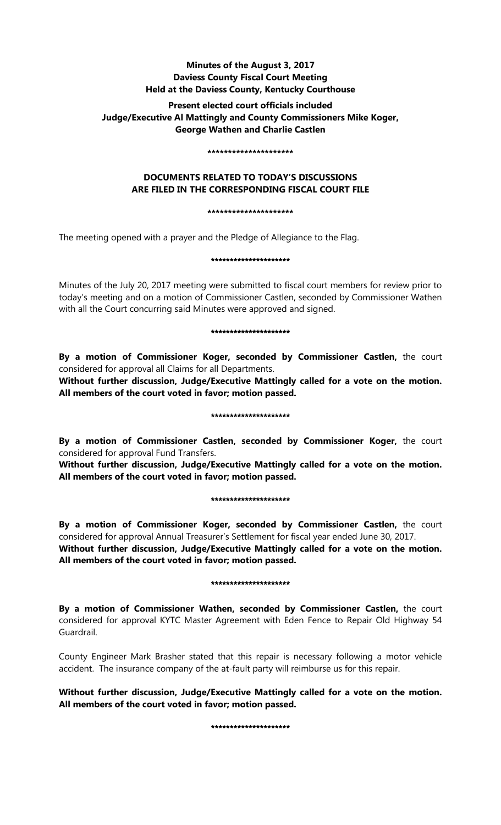# **Minutes of the August 3, 2017 Daviess County Fiscal Court Meeting Held at the Daviess County, Kentucky Courthouse**

# **Present elected court officials included Judge/Executive Al Mattingly and County Commissioners Mike Koger, George Wathen and Charlie Castlen**

#### **\*\*\*\*\*\*\*\*\*\*\*\*\*\*\*\*\*\*\*\*\***

# **DOCUMENTS RELATED TO TODAY'S DISCUSSIONS ARE FILED IN THE CORRESPONDING FISCAL COURT FILE**

### **\*\*\*\*\*\*\*\*\*\*\*\*\*\*\*\*\*\*\*\*\***

The meeting opened with a prayer and the Pledge of Allegiance to the Flag.

### \*\*\*\*\*\*\*\*\*\*\*\*\*\*\*\*\*\*\*\*\*

Minutes of the July 20, 2017 meeting were submitted to fiscal court members for review prior to today's meeting and on a motion of Commissioner Castlen, seconded by Commissioner Wathen with all the Court concurring said Minutes were approved and signed.

### \*\*\*\*\*\*\*\*\*\*\*\*\*\*\*\*\*\*\*\*\*

**By a motion of Commissioner Koger, seconded by Commissioner Castlen,** the court considered for approval all Claims for all Departments.

**Without further discussion, Judge/Executive Mattingly called for a vote on the motion. All members of the court voted in favor; motion passed.** 

## \*\*\*\*\*\*\*\*\*\*\*\*\*\*\*\*\*\*\*\*

**By a motion of Commissioner Castlen, seconded by Commissioner Koger,** the court considered for approval Fund Transfers.

**Without further discussion, Judge/Executive Mattingly called for a vote on the motion. All members of the court voted in favor; motion passed.** 

### \*\*\*\*\*\*\*\*\*\*\*\*\*\*\*\*\*\*\*\*\*

**By a motion of Commissioner Koger, seconded by Commissioner Castlen,** the court considered for approval Annual Treasurer's Settlement for fiscal year ended June 30, 2017.

**Without further discussion, Judge/Executive Mattingly called for a vote on the motion. All members of the court voted in favor; motion passed.** 

## \*\*\*\*\*\*\*\*\*\*\*\*\*\*\*\*\*\*\*\*\*

**By a motion of Commissioner Wathen, seconded by Commissioner Castlen,** the court considered for approval KYTC Master Agreement with Eden Fence to Repair Old Highway 54 Guardrail.

County Engineer Mark Brasher stated that this repair is necessary following a motor vehicle accident. The insurance company of the at-fault party will reimburse us for this repair.

**Without further discussion, Judge/Executive Mattingly called for a vote on the motion. All members of the court voted in favor; motion passed.** 

\*\*\*\*\*\*\*\*\*\*\*\*\*\*\*\*\*\*\*\*\*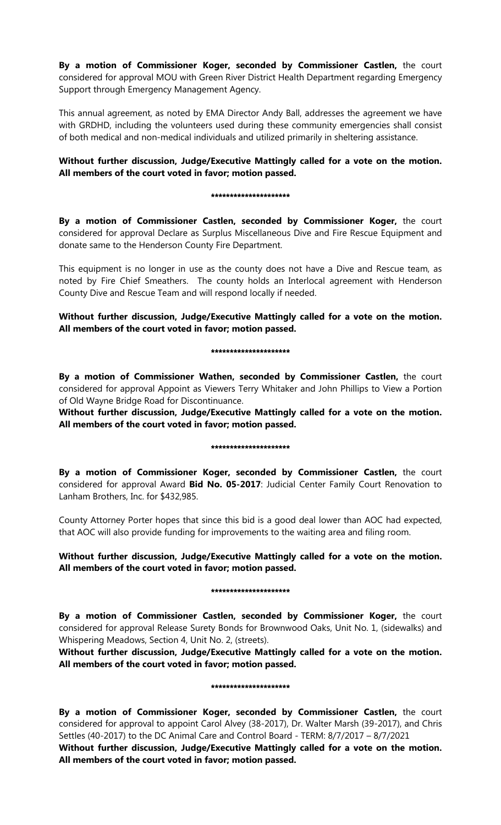**By a motion of Commissioner Koger, seconded by Commissioner Castlen,** the court considered for approval MOU with Green River District Health Department regarding Emergency Support through Emergency Management Agency.

This annual agreement, as noted by EMA Director Andy Ball, addresses the agreement we have with GRDHD, including the volunteers used during these community emergencies shall consist of both medical and non-medical individuals and utilized primarily in sheltering assistance.

# **Without further discussion, Judge/Executive Mattingly called for a vote on the motion. All members of the court voted in favor; motion passed.**

### \*\*\*\*\*\*\*\*\*\*\*\*\*\*\*\*\*\*\*\*\*

**By a motion of Commissioner Castlen, seconded by Commissioner Koger,** the court considered for approval Declare as Surplus Miscellaneous Dive and Fire Rescue Equipment and donate same to the Henderson County Fire Department.

This equipment is no longer in use as the county does not have a Dive and Rescue team, as noted by Fire Chief Smeathers. The county holds an Interlocal agreement with Henderson County Dive and Rescue Team and will respond locally if needed.

# **Without further discussion, Judge/Executive Mattingly called for a vote on the motion. All members of the court voted in favor; motion passed.**

### \*\*\*\*\*\*\*\*\*\*\*\*\*\*\*\*\*\*\*\*\*

**By a motion of Commissioner Wathen, seconded by Commissioner Castlen,** the court considered for approval Appoint as Viewers Terry Whitaker and John Phillips to View a Portion of Old Wayne Bridge Road for Discontinuance.

**Without further discussion, Judge/Executive Mattingly called for a vote on the motion. All members of the court voted in favor; motion passed.** 

## \*\*\*\*\*\*\*\*\*\*\*\*\*\*\*\*\*\*\*

**By a motion of Commissioner Koger, seconded by Commissioner Castlen,** the court considered for approval Award **Bid No. 05-2017**: Judicial Center Family Court Renovation to Lanham Brothers, Inc. for \$432,985.

County Attorney Porter hopes that since this bid is a good deal lower than AOC had expected, that AOC will also provide funding for improvements to the waiting area and filing room.

# **Without further discussion, Judge/Executive Mattingly called for a vote on the motion. All members of the court voted in favor; motion passed.**

## \*\*\*\*\*\*\*\*\*\*\*\*\*\*\*\*\*\*\*\*\*

**By a motion of Commissioner Castlen, seconded by Commissioner Koger,** the court considered for approval Release Surety Bonds for Brownwood Oaks, Unit No. 1, (sidewalks) and Whispering Meadows, Section 4, Unit No. 2, (streets).

**Without further discussion, Judge/Executive Mattingly called for a vote on the motion. All members of the court voted in favor; motion passed.** 

## \*\*\*\*\*\*\*\*\*\*\*\*\*\*\*\*\*\*\*

**By a motion of Commissioner Koger, seconded by Commissioner Castlen,** the court considered for approval to appoint Carol Alvey (38-2017), Dr. Walter Marsh (39-2017), and Chris Settles (40-2017) to the DC Animal Care and Control Board - TERM: 8/7/2017 – 8/7/2021

**Without further discussion, Judge/Executive Mattingly called for a vote on the motion. All members of the court voted in favor; motion passed.**